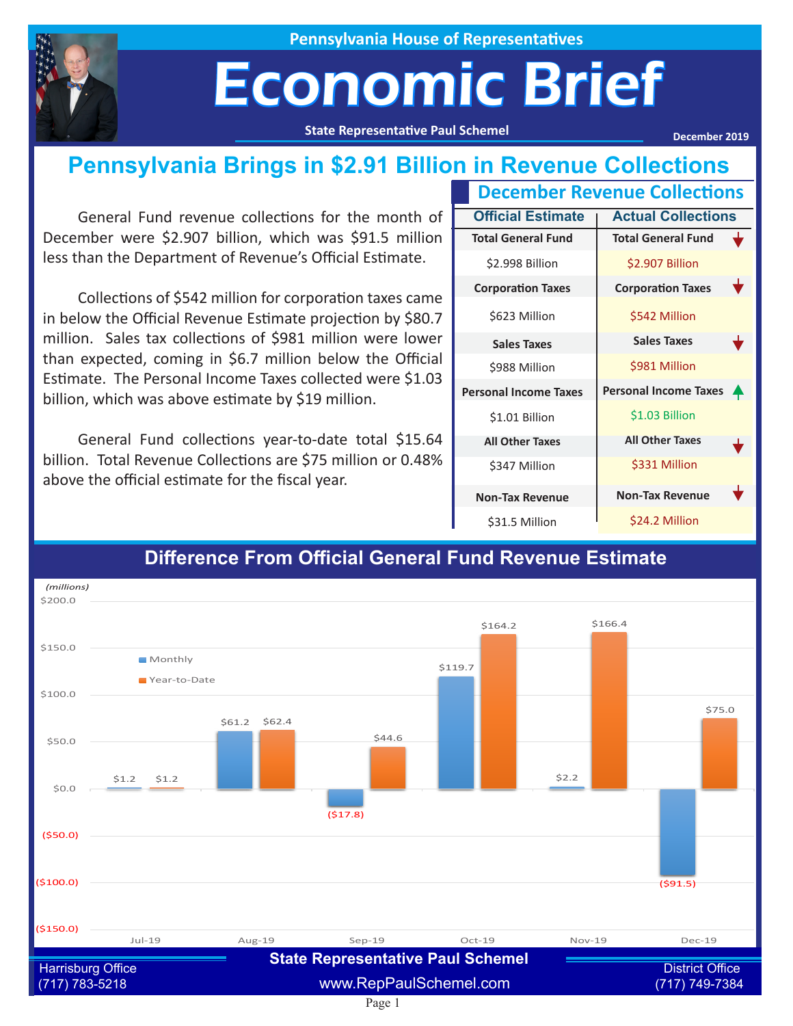

**Pennsylvania House of Representatives**

## Economic Brief

**State Representative Paul Schemel**

**December 2019**

#### **Pennsylvania Brings in \$2.91 Billion in Revenue Collections**

General Fund revenue collections for the month of December were \$2.907 billion, which was \$91.5 million less than the Department of Revenue's Official Estimate.

Collections of \$542 million for corporation taxes came in below the Official Revenue Estimate projection by \$80.7 million. Sales tax collections of \$981 million were lower than expected, coming in \$6.7 million below the Official Estimate. The Personal Income Taxes collected were \$1.03 billion, which was above estimate by \$19 million.

General Fund collections year-to-date total \$15.64 billion. Total Revenue Collections are \$75 million or 0.48% above the official estimate for the fiscal year.

| <b>December Revenue Collections</b> |                                   |  |  |
|-------------------------------------|-----------------------------------|--|--|
| <b>Official Estimate</b>            | <b>Actual Collections</b>         |  |  |
| <b>Total General Fund</b>           | <b>Total General Fund</b>         |  |  |
| \$2.998 Billion                     | \$2.907 Billion                   |  |  |
| <b>Corporation Taxes</b>            | <b>Corporation Taxes</b>          |  |  |
| \$623 Million                       | \$542 Million                     |  |  |
| <b>Sales Taxes</b>                  | <b>Sales Taxes</b>                |  |  |
| \$988 Million                       | \$981 Million                     |  |  |
| <b>Personal Income Taxes</b>        | <b>Personal Income Taxes</b><br>₳ |  |  |
| \$1.01 Billion                      | \$1.03 Billion                    |  |  |
| <b>All Other Taxes</b>              | <b>All Other Taxes</b>            |  |  |
| \$347 Million                       | \$331 Million                     |  |  |
| <b>Non-Tax Revenue</b>              | <b>Non-Tax Revenue</b>            |  |  |
| \$31.5 Million                      | \$24.2 Million                    |  |  |



#### **Difference From Official General Fund Revenue Estimate**